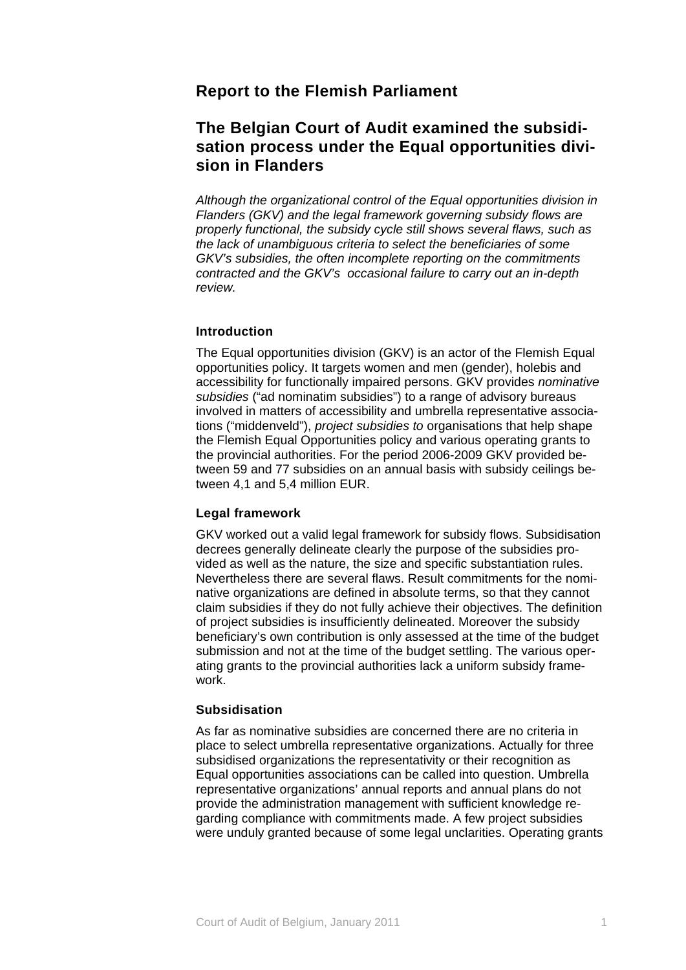## **Report to the Flemish Parliament**

# **The Belgian Court of Audit examined the subsidisation process under the Equal opportunities division in Flanders**

*Although the organizational control of the Equal opportunities division in Flanders (GKV) and the legal framework governing subsidy flows are properly functional, the subsidy cycle still shows several flaws, such as the lack of unambiguous criteria to select the beneficiaries of some GKV's subsidies, the often incomplete reporting on the commitments contracted and the GKV's occasional failure to carry out an in-depth review.* 

## **Introduction**

The Equal opportunities division (GKV) is an actor of the Flemish Equal opportunities policy. It targets women and men (gender), holebis and accessibility for functionally impaired persons. GKV provides *nominative subsidies* ("ad nominatim subsidies") to a range of advisory bureaus involved in matters of accessibility and umbrella representative associations ("middenveld"), *project subsidies to* organisations that help shape the Flemish Equal Opportunities policy and various operating grants to the provincial authorities. For the period 2006-2009 GKV provided between 59 and 77 subsidies on an annual basis with subsidy ceilings between 4,1 and 5,4 million EUR.

## **Legal framework**

GKV worked out a valid legal framework for subsidy flows. Subsidisation decrees generally delineate clearly the purpose of the subsidies provided as well as the nature, the size and specific substantiation rules. Nevertheless there are several flaws. Result commitments for the nominative organizations are defined in absolute terms, so that they cannot claim subsidies if they do not fully achieve their objectives. The definition of project subsidies is insufficiently delineated. Moreover the subsidy beneficiary's own contribution is only assessed at the time of the budget submission and not at the time of the budget settling. The various operating grants to the provincial authorities lack a uniform subsidy framework.

#### **Subsidisation**

As far as nominative subsidies are concerned there are no criteria in place to select umbrella representative organizations. Actually for three subsidised organizations the representativity or their recognition as Equal opportunities associations can be called into question. Umbrella representative organizations' annual reports and annual plans do not provide the administration management with sufficient knowledge regarding compliance with commitments made. A few project subsidies were unduly granted because of some legal unclarities. Operating grants